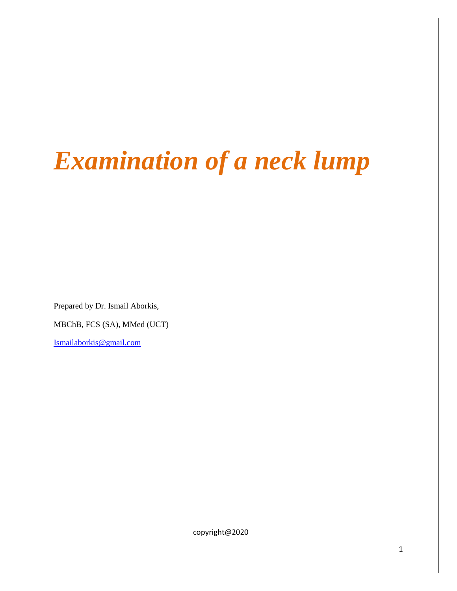# *Examination of a neck lump*

Prepared by Dr. Ismail Aborkis,

MBChB, FCS (SA), MMed (UCT)

[Ismailaborkis@gmail.com](mailto:Ismailaborkis@gmail.com)

copyright@2020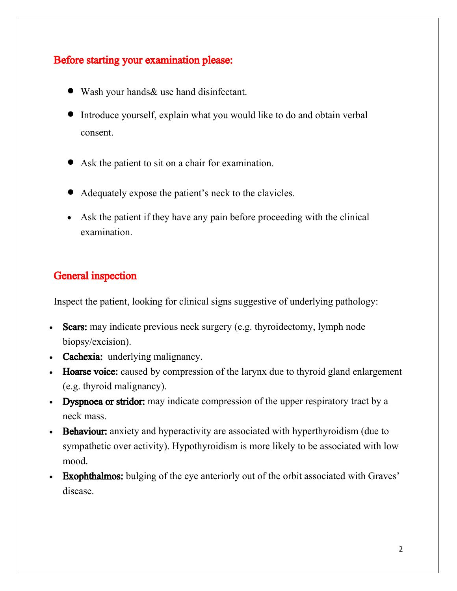# Before starting your examination please:

- Wash your hands& use hand disinfectant.
- Introduce yourself, explain what you would like to do and obtain verbal consent.
- Ask the patient to sit on a chair for examination.
- Adequately expose the patient's neck to the clavicles.
- Ask the patient if they have any pain before proceeding with the clinical examination.

#### General inspection

Inspect the patient, looking for clinical signs suggestive of underlying pathology:

- Scars: may indicate previous neck surgery (e.g. thyroidectomy, lymph node biopsy/excision).
- Cachexia: underlying malignancy.
- Hoarse voice: caused by compression of the larynx due to thyroid gland enlargement (e.g. thyroid malignancy).
- Dyspnoea or stridor: may indicate compression of the upper respiratory tract by a neck mass.
- **Behaviour:** anxiety and hyperactivity are associated with hyperthyroidism (due to sympathetic over activity). Hypothyroidism is more likely to be associated with low mood.
- **Exophthalmos:** bulging of the eye anteriorly out of the orbit associated with Graves' disease.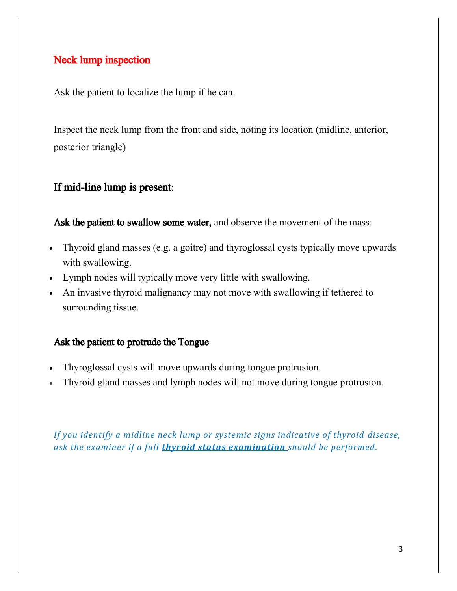# Neck lump inspection

Ask the patient to localize the lump if he can.

Inspect the neck lump from the front and side, noting its location (midline, anterior, posterior triangle)

# If mid-line lump is present:

Ask the patient to swallow some water, and observe the movement of the mass:

- Thyroid gland masses (e.g. a goitre) and thyroglossal cysts typically move upwards with swallowing.
- Lymph nodes will typically move very little with swallowing.
- An invasive thyroid malignancy may not move with swallowing if tethered to surrounding tissue.

#### Ask the patient to protrude the Tongue

- Thyroglossal cysts will move upwards during tongue protrusion.
- Thyroid gland masses and lymph nodes will not move during tongue protrusion.

*If you identify a midline neck lump or systemic signs indicative of thyroid disease, ask the examiner if a full [thyroid status examination](https://geekymedics.com/thyroid-status-examination/) should be performed.*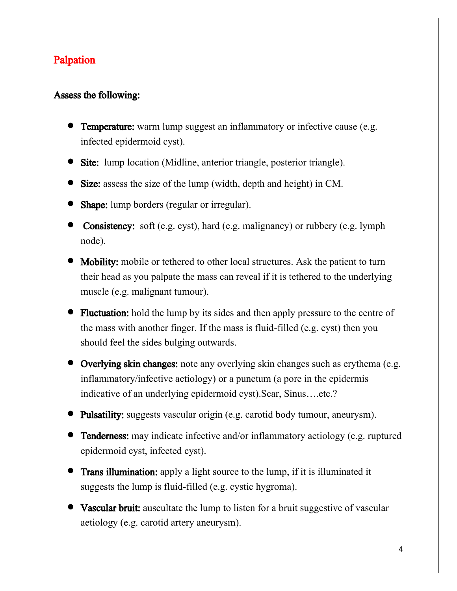# Palpation

#### Assess the following:

- **Temperature:** warm lump suggest an inflammatory or infective cause (e.g. infected epidermoid cyst).
- **Site:** lump location (Midline, anterior triangle, posterior triangle).
- **Size:** assess the size of the lump (width, depth and height) in CM.
- **Shape:** lump borders (regular or irregular).
- Consistency: soft (e.g. cyst), hard (e.g. malignancy) or rubbery (e.g. lymph node).
- **Mobility:** mobile or tethered to other local structures. Ask the patient to turn their head as you palpate the mass can reveal if it is tethered to the underlying muscle (e.g. malignant tumour).
- Fluctuation: hold the lump by its sides and then apply pressure to the centre of the mass with another finger. If the mass is fluid-filled (e.g. cyst) then you should feel the sides bulging outwards.
- **Overlying skin changes:** note any overlying skin changes such as erythema (e.g. inflammatory/infective aetiology) or a punctum (a pore in the epidermis indicative of an underlying epidermoid cyst).Scar, Sinus….etc.?
- **Pulsatility:** suggests vascular origin (e.g. carotid body tumour, aneurysm).
- **Tenderness:** may indicate infective and/or inflammatory aetiology (e.g. ruptured epidermoid cyst, infected cyst).
- **Trans illumination:** apply a light source to the lump, if it is illuminated it suggests the lump is fluid-filled (e.g. cystic hygroma).
- **Vascular bruit:** auscultate the lump to listen for a bruit suggestive of vascular aetiology (e.g. carotid artery aneurysm).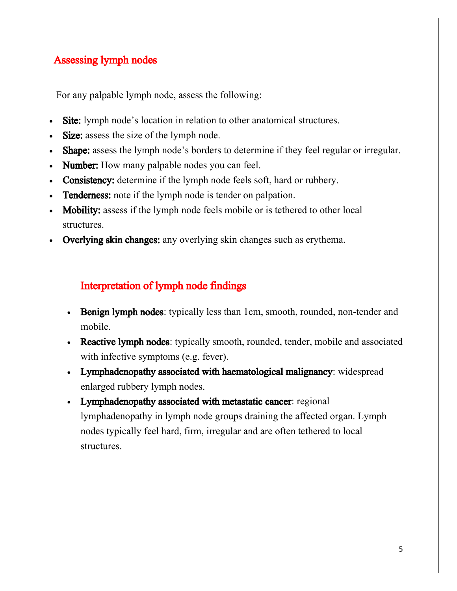# Assessing lymph nodes

For any palpable lymph node, assess the following:

- Site: lymph node's location in relation to other anatomical structures.
- Size: assess the size of the lymph node.
- Shape: assess the lymph node's borders to determine if they feel regular or irregular.
- Number: How many palpable nodes you can feel.
- Consistency: determine if the lymph node feels soft, hard or rubbery.
- Tenderness: note if the lymph node is tender on palpation.
- Mobility: assess if the lymph node feels mobile or is tethered to other local structures.
- Overlying skin changes: any overlying skin changes such as erythema.

### Interpretation of lymph node findings

- Benign lymph nodes: typically less than 1cm, smooth, rounded, non-tender and mobile.
- Reactive lymph nodes: typically smooth, rounded, tender, mobile and associated with infective symptoms (e.g. fever).
- Lymphadenopathy associated with haematological malignancy: widespread enlarged rubbery lymph nodes.
- Lymphadenopathy associated with metastatic cancer: regional lymphadenopathy in lymph node groups draining the affected organ. Lymph nodes typically feel hard, firm, irregular and are often tethered to local structures.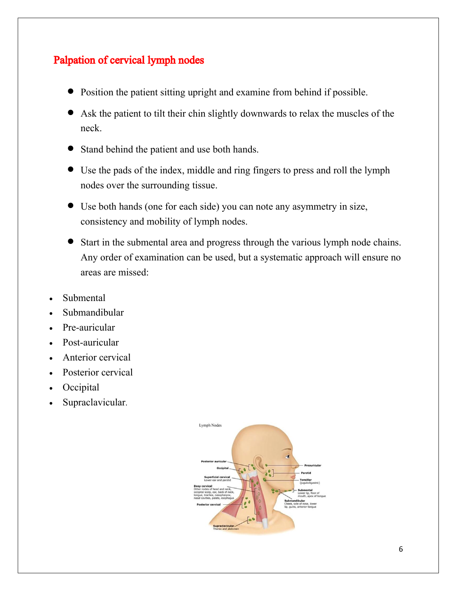# Palpation of cervical lymph nodes

- Position the patient sitting upright and examine from behind if possible.
- Ask the patient to tilt their chin slightly downwards to relax the muscles of the neck.
- Stand behind the patient and use both hands.
- Use the pads of the index, middle and ring fingers to press and roll the lymph nodes over the surrounding tissue.
- Use both hands (one for each side) you can note any asymmetry in size, consistency and mobility of lymph nodes.
- Start in the submental area and progress through the various lymph node chains. Any order of examination can be used, but a systematic approach will ensure no areas are missed:
- Submental
- Submandibular
- Pre-auricular
- Post-auricular
- Anterior cervical
- Posterior cervical
- **Occipital**
- Supraclavicular.

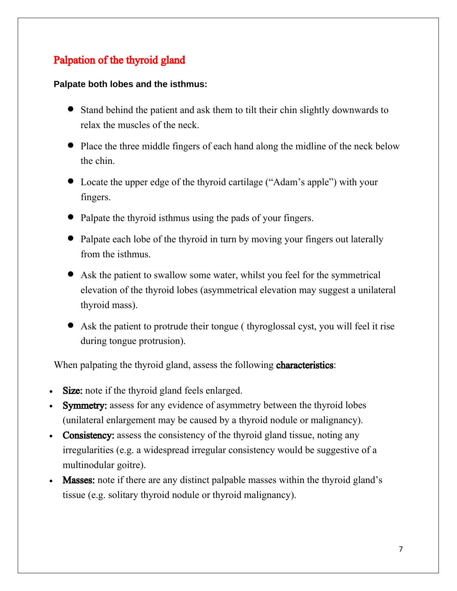# Palpation of the thyroid gland

#### **Palpate both lobes and the isthmus:**

- Stand behind the patient and ask them to tilt their chin slightly downwards to relax the muscles of the neck.
- Place the three middle fingers of each hand along the midline of the neck below the chin.
- Locate the upper edge of the thyroid cartilage ("Adam's apple") with your fingers.
- Palpate the thyroid isthmus using the pads of your fingers.
- Palpate each lobe of the thyroid in turn by moving your fingers out laterally from the isthmus.
- Ask the patient to swallow some water, whilst you feel for the symmetrical elevation of the thyroid lobes (asymmetrical elevation may suggest a unilateral thyroid mass).
- Ask the patient to protrude their tongue ( thyroglossal cyst, you will feel it rise during tongue protrusion).

When palpating the thyroid gland, assess the following **characteristics**:

- Size: note if the thyroid gland feels enlarged.
- Symmetry: assess for any evidence of asymmetry between the thyroid lobes (unilateral enlargement may be caused by a thyroid nodule or malignancy).
- Consistency: assess the consistency of the thyroid gland tissue, noting any irregularities (e.g. a widespread irregular consistency would be suggestive of a multinodular goitre).
- **Masses:** note if there are any distinct palpable masses within the thyroid gland's tissue (e.g. solitary thyroid nodule or thyroid malignancy).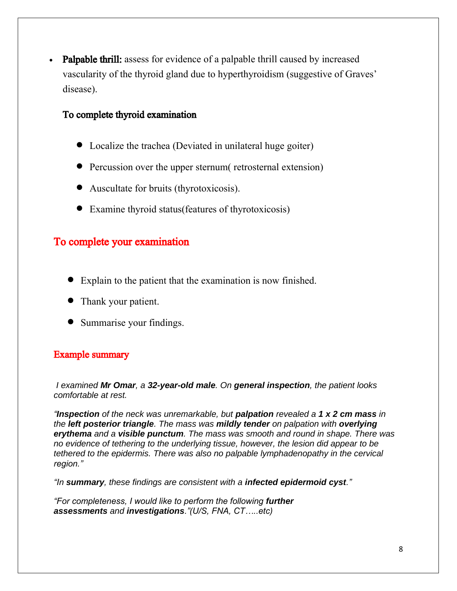• Palpable thrill: assess for evidence of a palpable thrill caused by increased vascularity of the thyroid gland due to hyperthyroidism (suggestive of Graves' disease).

#### To complete thyroid examination

- Localize the trachea (Deviated in unilateral huge goiter)
- Percussion over the upper sternum retrosternal extension)
- Auscultate for bruits (thyrotoxicosis).
- Examine thyroid status(features of thyrotoxicosis)

#### To complete your examination

- Explain to the patient that the examination is now finished.
- Thank your patient.
- Summarise your findings.

#### Example summary

*I examined Mr Omar, a 32-year-old male. On general inspection, the patient looks comfortable at rest.* 

*"Inspection of the neck was unremarkable, but palpation revealed a 1 x 2 cm mass in the left posterior triangle. The mass was mildly tender on palpation with overlying erythema and a visible punctum. The mass was smooth and round in shape. There was no evidence of tethering to the underlying tissue, however, the lesion did appear to be tethered to the epidermis. There was also no palpable lymphadenopathy in the cervical region."*

*"In summary, these findings are consistent with a infected epidermoid cyst."*

*"For completeness, I would like to perform the following further assessments and investigations."(U/S, FNA, CT…..etc)*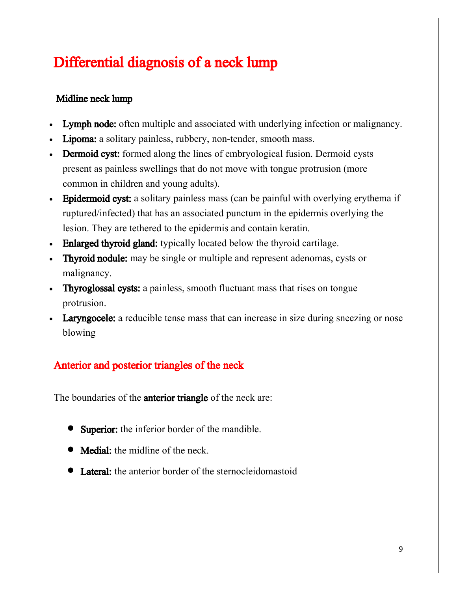# Differential diagnosis of a neck lump

# Midline neck lump

- Lymph node: often multiple and associated with underlying infection or malignancy.
- Lipoma: a solitary painless, rubbery, non-tender, smooth mass.
- Dermoid cyst: formed along the lines of embryological fusion. Dermoid cysts present as painless swellings that do not move with tongue protrusion (more common in children and young adults).
- Epidermoid cyst: a solitary painless mass (can be painful with overlying erythema if ruptured/infected) that has an associated punctum in the epidermis overlying the lesion. They are tethered to the epidermis and contain keratin.
- **Enlarged thyroid gland:** typically located below the thyroid cartilage.
- Thyroid nodule: may be single or multiple and represent adenomas, cysts or malignancy.
- Thyroglossal cysts: a painless, smooth fluctuant mass that rises on tongue protrusion.
- Laryngocele: a reducible tense mass that can increase in size during sneezing or nose blowing

# Anterior and posterior triangles of the neck

The boundaries of the **anterior triangle** of the neck are:

- **Superior:** the inferior border of the mandible.
- Medial: the midline of the neck.
- Lateral: the anterior border of the sternocleidomastoid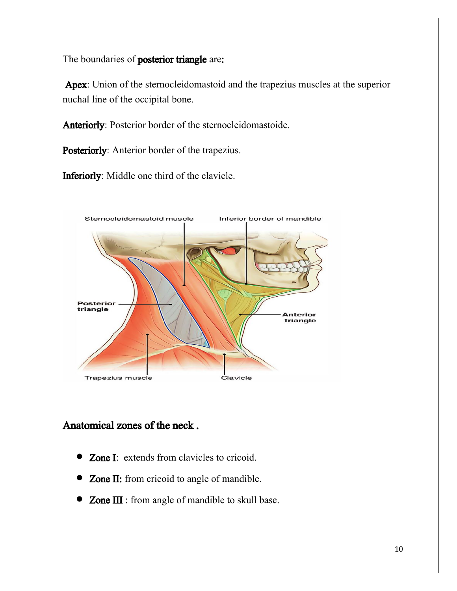The boundaries of **posterior triangle** are:

Apex: Union of the sternocleidomastoid and the trapezius muscles at the superior nuchal line of the occipital bone.

Anteriorly: Posterior border of the sternocleidomastoide.

Posteriorly: Anterior border of the trapezius.

Inferiorly: Middle one third of the clavicle.



# Anatomical zones of the neck .

- **Zone I:** extends from clavicles to cricoid.
- **Zone II:** from cricoid to angle of mandible.
- Zone III : from angle of mandible to skull base.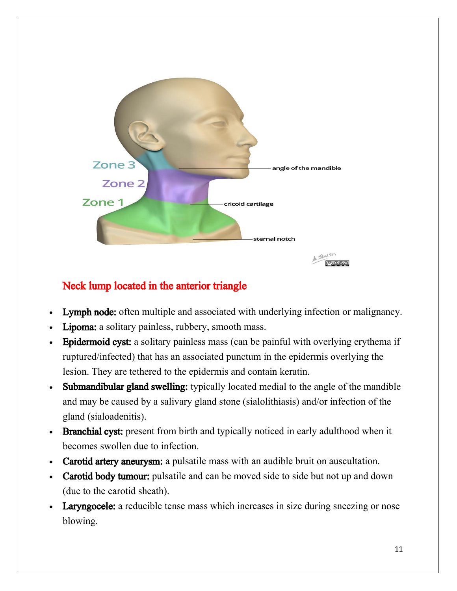

# Neck lump located in the anterior triangle

- Lymph node: often multiple and associated with underlying infection or malignancy.
- Lipoma: a solitary painless, rubbery, smooth mass.
- Epidermoid cyst: a solitary painless mass (can be painful with overlying erythema if ruptured/infected) that has an associated punctum in the epidermis overlying the lesion. They are tethered to the epidermis and contain keratin.
- Submandibular gland swelling: typically located medial to the angle of the mandible and may be caused by a salivary gland stone (sialolithiasis) and/or infection of the gland (sialoadenitis).
- Branchial cyst: present from birth and typically noticed in early adulthood when it becomes swollen due to infection.
- Carotid artery aneurysm: a pulsatile mass with an audible bruit on auscultation.
- Carotid body tumour: pulsatile and can be moved side to side but not up and down (due to the carotid sheath).
- **Laryngocele:** a reducible tense mass which increases in size during sneezing or nose blowing.